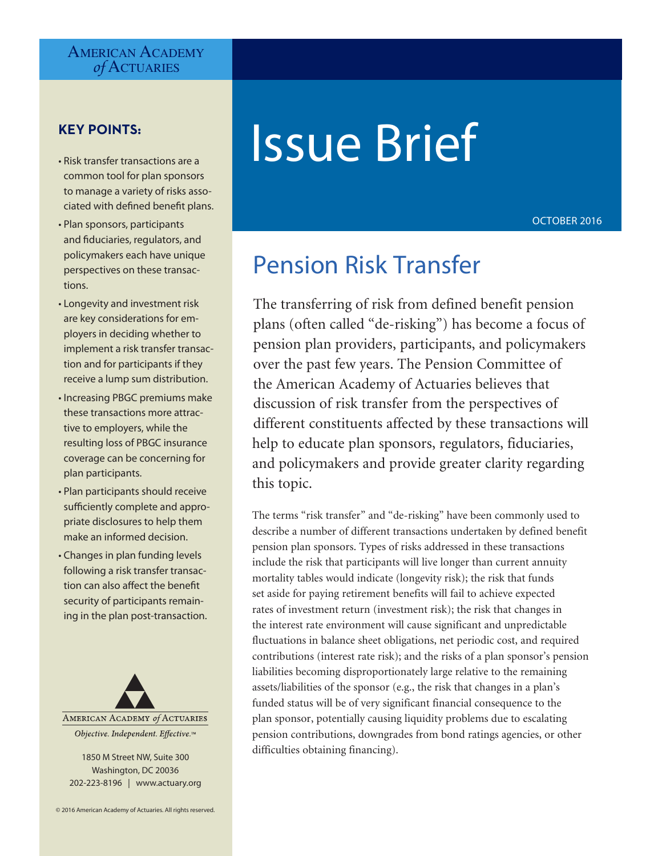# AMERICAN ACADEMY *of* Actuaries

# **KEY POINTS:**

- Risk transfer transactions are a common tool for plan sponsors to manage a variety of risks associated with defined benefit plans.
- Plan sponsors, participants and fiduciaries, regulators, and policymakers each have unique perspectives on these transactions.
- Longevity and investment risk are key considerations for employers in deciding whether to implement a risk transfer transaction and for participants if they receive a lump sum distribution.
- Increasing PBGC premiums make these transactions more attractive to employers, while the resulting loss of PBGC insurance coverage can be concerning for plan participants.
- Plan participants should receive sufficiently complete and appropriate disclosures to help them make an informed decision.
- Changes in plan funding levels following a risk transfer transaction can also affect the benefit security of participants remaining in the plan post-transaction.



1850 M Street NW, Suite 300 Washington, DC 20036 202-223-8196 | www.actuary.org

# Issue Brief

OCTOBER 2016

# Pension Risk Transfer

The transferring of risk from defined benefit pension plans (often called "de-risking") has become a focus of pension plan providers, participants, and policymakers over the past few years. The Pension Committee of the American Academy of Actuaries believes that discussion of risk transfer from the perspectives of different constituents affected by these transactions will help to educate plan sponsors, regulators, fiduciaries, and policymakers and provide greater clarity regarding this topic.

The terms "risk transfer" and "de-risking" have been commonly used to describe a number of different transactions undertaken by defined benefit pension plan sponsors. Types of risks addressed in these transactions include the risk that participants will live longer than current annuity mortality tables would indicate (longevity risk); the risk that funds set aside for paying retirement benefits will fail to achieve expected rates of investment return (investment risk); the risk that changes in the interest rate environment will cause significant and unpredictable fluctuations in balance sheet obligations, net periodic cost, and required contributions (interest rate risk); and the risks of a plan sponsor's pension liabilities becoming disproportionately large relative to the remaining assets/liabilities of the sponsor (e.g., the risk that changes in a plan's funded status will be of very significant financial consequence to the plan sponsor, potentially causing liquidity problems due to escalating pension contributions, downgrades from bond ratings agencies, or other difficulties obtaining financing).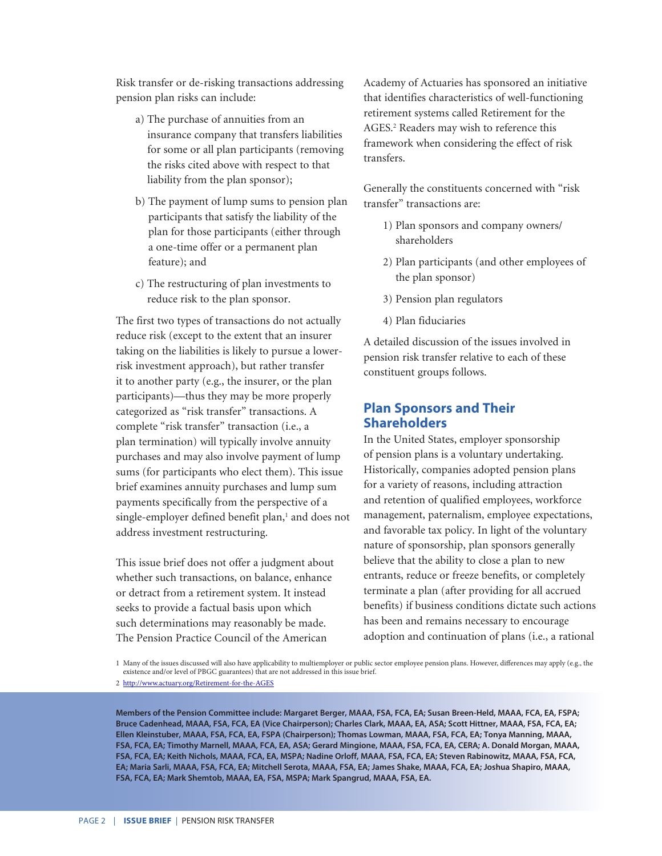Risk transfer or de-risking transactions addressing pension plan risks can include:

- a) The purchase of annuities from an insurance company that transfers liabilities for some or all plan participants (removing the risks cited above with respect to that liability from the plan sponsor);
- b) The payment of lump sums to pension plan participants that satisfy the liability of the plan for those participants (either through a one-time offer or a permanent plan feature); and
- c) The restructuring of plan investments to reduce risk to the plan sponsor.

The first two types of transactions do not actually reduce risk (except to the extent that an insurer taking on the liabilities is likely to pursue a lowerrisk investment approach), but rather transfer it to another party (e.g., the insurer, or the plan participants)—thus they may be more properly categorized as "risk transfer" transactions. A complete "risk transfer" transaction (i.e., a plan termination) will typically involve annuity purchases and may also involve payment of lump sums (for participants who elect them). This issue brief examines annuity purchases and lump sum payments specifically from the perspective of a single-employer defined benefit plan,<sup>1</sup> and does not address investment restructuring.

This issue brief does not offer a judgment about whether such transactions, on balance, enhance or detract from a retirement system. It instead seeks to provide a factual basis upon which such determinations may reasonably be made. The Pension Practice Council of the American

Academy of Actuaries has sponsored an initiative that identifies characteristics of well-functioning retirement systems called Retirement for the AGES.<sup>2</sup> Readers may wish to reference this framework when considering the effect of risk transfers.

Generally the constituents concerned with "risk transfer" transactions are:

- 1) Plan sponsors and company owners/ shareholders
- 2) Plan participants (and other employees of the plan sponsor)
- 3) Pension plan regulators
- 4) Plan fiduciaries

A detailed discussion of the issues involved in pension risk transfer relative to each of these constituent groups follows.

# **Plan Sponsors and Their Shareholders**

In the United States, employer sponsorship of pension plans is a voluntary undertaking. Historically, companies adopted pension plans for a variety of reasons, including attraction and retention of qualified employees, workforce management, paternalism, employee expectations, and favorable tax policy. In light of the voluntary nature of sponsorship, plan sponsors generally believe that the ability to close a plan to new entrants, reduce or freeze benefits, or completely terminate a plan (after providing for all accrued benefits) if business conditions dictate such actions has been and remains necessary to encourage adoption and continuation of plans (i.e., a rational

1 Many of the issues discussed will also have applicability to multiemployer or public sector employee pension plans. However, differences may apply (e.g., the existence and/or level of PBGC guarantees) that are not addressed in this issue brief.

2 <http://www.actuary.org/Retirement-for-the-AGES>

**Members of the Pension Committee include: Margaret Berger, MAAA, FSA, FCA, EA; Susan Breen-Held, MAAA, FCA, EA, FSPA; Bruce Cadenhead, MAAA, FSA, FCA, EA (Vice Chairperson); Charles Clark, MAAA, EA, ASA; Scott Hittner, MAAA, FSA, FCA, EA; Ellen Kleinstuber, MAAA, FSA, FCA, EA, FSPA (Chairperson); Thomas Lowman, MAAA, FSA, FCA, EA; Tonya Manning, MAAA, FSA, FCA, EA; Timothy Marnell, MAAA, FCA, EA, ASA; Gerard Mingione, MAAA, FSA, FCA, EA, CERA; A. Donald Morgan, MAAA, FSA, FCA, EA; Keith Nichols, MAAA, FCA, EA, MSPA; Nadine Orloff, MAAA, FSA, FCA, EA; Steven Rabinowitz, MAAA, FSA, FCA, EA; Maria Sarli, MAAA, FSA, FCA, EA; Mitchell Serota, MAAA, FSA, EA; James Shake, MAAA, FCA, EA; Joshua Shapiro, MAAA, FSA, FCA, EA; Mark Shemtob, MAAA, EA, FSA, MSPA; Mark Spangrud, MAAA, FSA, EA.**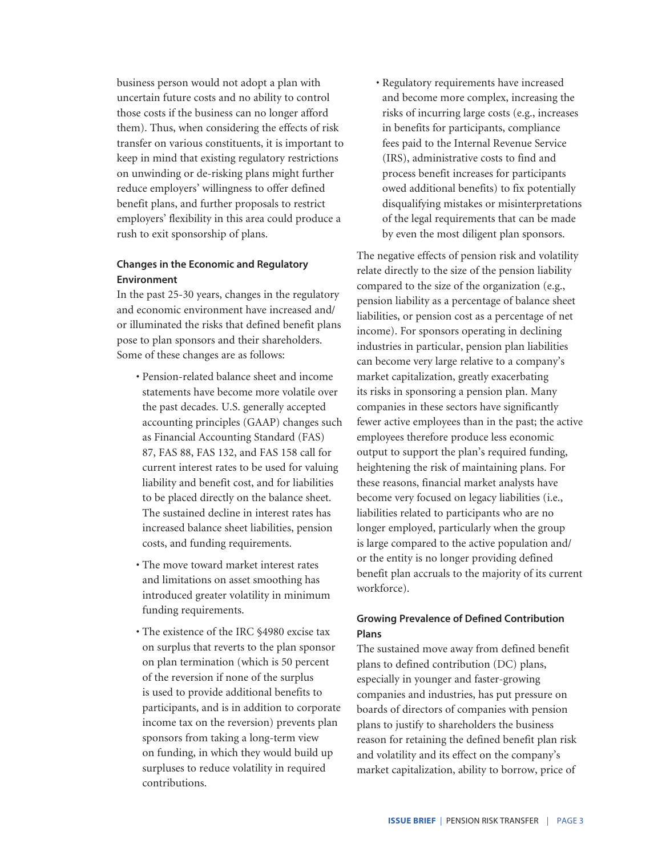business person would not adopt a plan with uncertain future costs and no ability to control those costs if the business can no longer afford them). Thus, when considering the effects of risk transfer on various constituents, it is important to keep in mind that existing regulatory restrictions on unwinding or de-risking plans might further reduce employers' willingness to offer defined benefit plans, and further proposals to restrict employers' flexibility in this area could produce a rush to exit sponsorship of plans.

# **Changes in the Economic and Regulatory Environment**

In the past 25-30 years, changes in the regulatory and economic environment have increased and/ or illuminated the risks that defined benefit plans pose to plan sponsors and their shareholders. Some of these changes are as follows:

- Pension-related balance sheet and income statements have become more volatile over the past decades. U.S. generally accepted accounting principles (GAAP) changes such as Financial Accounting Standard (FAS) 87, FAS 88, FAS 132, and FAS 158 call for current interest rates to be used for valuing liability and benefit cost, and for liabilities to be placed directly on the balance sheet. The sustained decline in interest rates has increased balance sheet liabilities, pension costs, and funding requirements.
- The move toward market interest rates and limitations on asset smoothing has introduced greater volatility in minimum funding requirements.
- The existence of the IRC §4980 excise tax on surplus that reverts to the plan sponsor on plan termination (which is 50 percent of the reversion if none of the surplus is used to provide additional benefits to participants, and is in addition to corporate income tax on the reversion) prevents plan sponsors from taking a long-term view on funding, in which they would build up surpluses to reduce volatility in required contributions.

• Regulatory requirements have increased and become more complex, increasing the risks of incurring large costs (e.g., increases in benefits for participants, compliance fees paid to the Internal Revenue Service (IRS), administrative costs to find and process benefit increases for participants owed additional benefits) to fix potentially disqualifying mistakes or misinterpretations of the legal requirements that can be made by even the most diligent plan sponsors.

The negative effects of pension risk and volatility relate directly to the size of the pension liability compared to the size of the organization (e.g., pension liability as a percentage of balance sheet liabilities, or pension cost as a percentage of net income). For sponsors operating in declining industries in particular, pension plan liabilities can become very large relative to a company's market capitalization, greatly exacerbating its risks in sponsoring a pension plan. Many companies in these sectors have significantly fewer active employees than in the past; the active employees therefore produce less economic output to support the plan's required funding, heightening the risk of maintaining plans. For these reasons, financial market analysts have become very focused on legacy liabilities (i.e., liabilities related to participants who are no longer employed, particularly when the group is large compared to the active population and/ or the entity is no longer providing defined benefit plan accruals to the majority of its current workforce).

# **Growing Prevalence of Defined Contribution Plans**

The sustained move away from defined benefit plans to defined contribution (DC) plans, especially in younger and faster-growing companies and industries, has put pressure on boards of directors of companies with pension plans to justify to shareholders the business reason for retaining the defined benefit plan risk and volatility and its effect on the company's market capitalization, ability to borrow, price of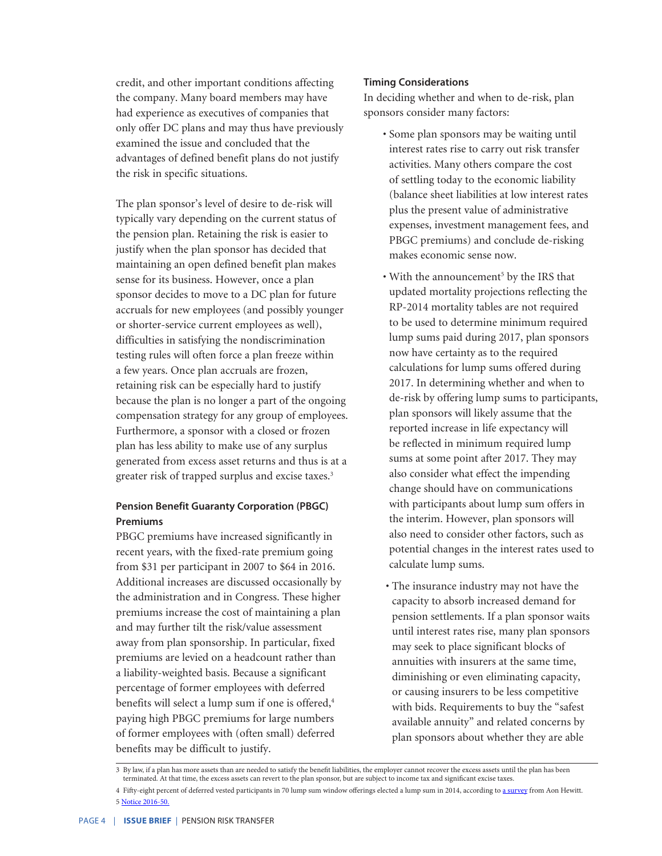credit, and other important conditions affecting the company. Many board members may have had experience as executives of companies that only offer DC plans and may thus have previously examined the issue and concluded that the advantages of defined benefit plans do not justify the risk in specific situations.

The plan sponsor's level of desire to de-risk will typically vary depending on the current status of the pension plan. Retaining the risk is easier to justify when the plan sponsor has decided that maintaining an open defined benefit plan makes sense for its business. However, once a plan sponsor decides to move to a DC plan for future accruals for new employees (and possibly younger or shorter-service current employees as well), difficulties in satisfying the nondiscrimination testing rules will often force a plan freeze within a few years. Once plan accruals are frozen, retaining risk can be especially hard to justify because the plan is no longer a part of the ongoing compensation strategy for any group of employees. Furthermore, a sponsor with a closed or frozen plan has less ability to make use of any surplus generated from excess asset returns and thus is at a greater risk of trapped surplus and excise taxes.<sup>3</sup>

# **Pension Benefit Guaranty Corporation (PBGC) Premiums**

PBGC premiums have increased significantly in recent years, with the fixed-rate premium going from \$31 per participant in 2007 to \$64 in 2016. Additional increases are discussed occasionally by the administration and in Congress. These higher premiums increase the cost of maintaining a plan and may further tilt the risk/value assessment away from plan sponsorship. In particular, fixed premiums are levied on a headcount rather than a liability-weighted basis. Because a significant percentage of former employees with deferred benefits will select a lump sum if one is offered,<sup>4</sup> paying high PBGC premiums for large numbers of former employees with (often small) deferred benefits may be difficult to justify.

#### **Timing Considerations**

In deciding whether and when to de-risk, plan sponsors consider many factors:

- Some plan sponsors may be waiting until interest rates rise to carry out risk transfer activities. Many others compare the cost of settling today to the economic liability (balance sheet liabilities at low interest rates plus the present value of administrative expenses, investment management fees, and PBGC premiums) and conclude de-risking makes economic sense now.
- With the announcement<sup>5</sup> by the IRS that updated mortality projections reflecting the RP-2014 mortality tables are not required to be used to determine minimum required lump sums paid during 2017, plan sponsors now have certainty as to the required calculations for lump sums offered during 2017. In determining whether and when to de-risk by offering lump sums to participants, plan sponsors will likely assume that the reported increase in life expectancy will be reflected in minimum required lump sums at some point after 2017. They may also consider what effect the impending change should have on communications with participants about lump sum offers in the interim. However, plan sponsors will also need to consider other factors, such as potential changes in the interest rates used to calculate lump sums.
- The insurance industry may not have the capacity to absorb increased demand for pension settlements. If a plan sponsor waits until interest rates rise, many plan sponsors may seek to place significant blocks of annuities with insurers at the same time, diminishing or even eliminating capacity, or causing insurers to be less competitive with bids. Requirements to buy the "safest available annuity" and related concerns by plan sponsors about whether they are able

<sup>3</sup> By law, if a plan has more assets than are needed to satisfy the benefit liabilities, the employer cannot recover the excess assets until the plan has been terminated. At that time, the excess assets can revert to the plan sponsor, but are subject to income tax and significant excise taxes.

<sup>4</sup> Fifty-eight percent of deferred vested participants in 70 lump sum window offerings elected a lump sum in 2014, according to [a survey](http://www.aon.com/attachments/human-capital-consulting/lump-sum-window-experience.pdf) from Aon Hewitt. 5 [Notice 2016-50.](https://www.irs.gov/pub/irs-drop/n-15-53.pdf)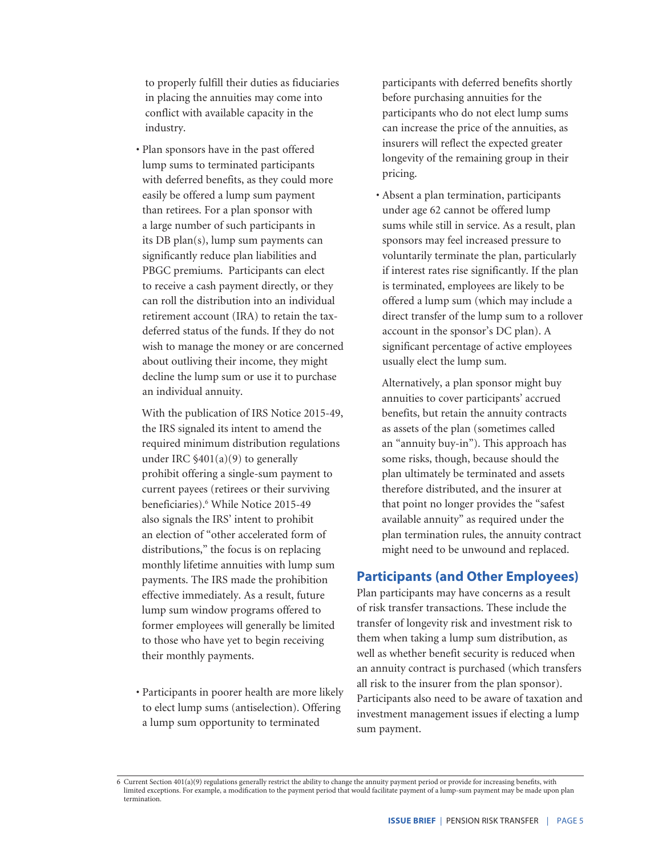to properly fulfill their duties as fiduciaries in placing the annuities may come into conflict with available capacity in the industry.

• Plan sponsors have in the past offered lump sums to terminated participants with deferred benefits, as they could more easily be offered a lump sum payment than retirees. For a plan sponsor with a large number of such participants in its DB plan(s), lump sum payments can significantly reduce plan liabilities and PBGC premiums. Participants can elect to receive a cash payment directly, or they can roll the distribution into an individual retirement account (IRA) to retain the taxdeferred status of the funds. If they do not wish to manage the money or are concerned about outliving their income, they might decline the lump sum or use it to purchase an individual annuity.

 With the publication of IRS Notice 2015-49, the IRS signaled its intent to amend the required minimum distribution regulations under IRC  $$401(a)(9)$  to generally prohibit offering a single-sum payment to current payees (retirees or their surviving beneficiaries).6 While Notice 2015-49 also signals the IRS' intent to prohibit an election of "other accelerated form of distributions," the focus is on replacing monthly lifetime annuities with lump sum payments. The IRS made the prohibition effective immediately. As a result, future lump sum window programs offered to former employees will generally be limited to those who have yet to begin receiving their monthly payments.

• Participants in poorer health are more likely to elect lump sums (antiselection). Offering a lump sum opportunity to terminated

participants with deferred benefits shortly before purchasing annuities for the participants who do not elect lump sums can increase the price of the annuities, as insurers will reflect the expected greater longevity of the remaining group in their pricing.

• Absent a plan termination, participants under age 62 cannot be offered lump sums while still in service. As a result, plan sponsors may feel increased pressure to voluntarily terminate the plan, particularly if interest rates rise significantly. If the plan is terminated, employees are likely to be offered a lump sum (which may include a direct transfer of the lump sum to a rollover account in the sponsor's DC plan). A significant percentage of active employees usually elect the lump sum.

 Alternatively, a plan sponsor might buy annuities to cover participants' accrued benefits, but retain the annuity contracts as assets of the plan (sometimes called an "annuity buy-in"). This approach has some risks, though, because should the plan ultimately be terminated and assets therefore distributed, and the insurer at that point no longer provides the "safest available annuity" as required under the plan termination rules, the annuity contract might need to be unwound and replaced.

# **Participants (and Other Employees)**

Plan participants may have concerns as a result of risk transfer transactions. These include the transfer of longevity risk and investment risk to them when taking a lump sum distribution, as well as whether benefit security is reduced when an annuity contract is purchased (which transfers all risk to the insurer from the plan sponsor). Participants also need to be aware of taxation and investment management issues if electing a lump sum payment.

<sup>6</sup> Current Section 401(a)(9) regulations generally restrict the ability to change the annuity payment period or provide for increasing benefits, with<br>limited exceptions. For example, a modification to the payment period tha termination.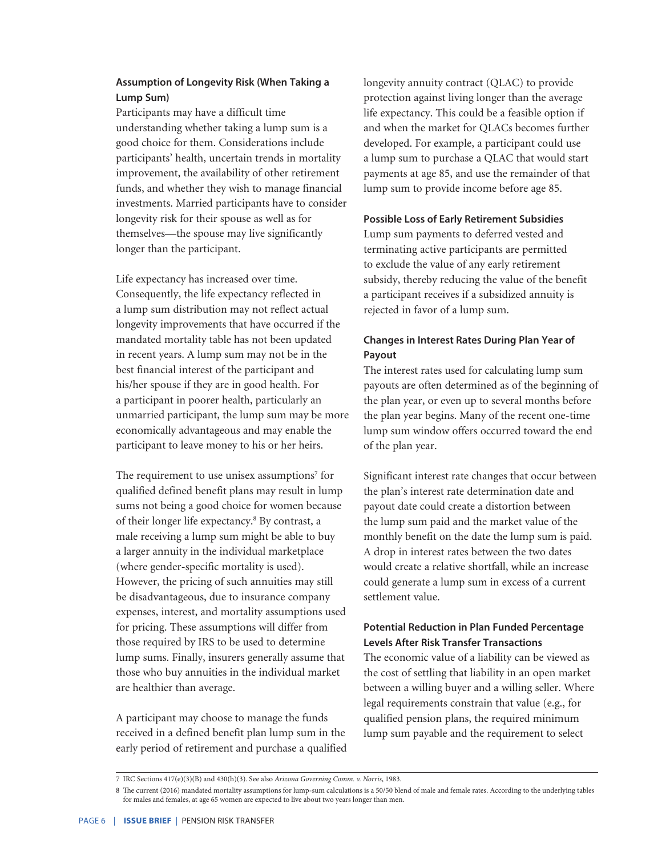# **Assumption of Longevity Risk (When Taking a Lump Sum)**

Participants may have a difficult time understanding whether taking a lump sum is a good choice for them. Considerations include participants' health, uncertain trends in mortality improvement, the availability of other retirement funds, and whether they wish to manage financial investments. Married participants have to consider longevity risk for their spouse as well as for themselves—the spouse may live significantly longer than the participant.

Life expectancy has increased over time. Consequently, the life expectancy reflected in a lump sum distribution may not reflect actual longevity improvements that have occurred if the mandated mortality table has not been updated in recent years. A lump sum may not be in the best financial interest of the participant and his/her spouse if they are in good health. For a participant in poorer health, particularly an unmarried participant, the lump sum may be more economically advantageous and may enable the participant to leave money to his or her heirs.

The requirement to use unisex assumptions<sup>7</sup> for qualified defined benefit plans may result in lump sums not being a good choice for women because of their longer life expectancy.<sup>8</sup> By contrast, a male receiving a lump sum might be able to buy a larger annuity in the individual marketplace (where gender-specific mortality is used). However, the pricing of such annuities may still be disadvantageous, due to insurance company expenses, interest, and mortality assumptions used for pricing. These assumptions will differ from those required by IRS to be used to determine lump sums. Finally, insurers generally assume that those who buy annuities in the individual market are healthier than average.

A participant may choose to manage the funds received in a defined benefit plan lump sum in the early period of retirement and purchase a qualified longevity annuity contract (QLAC) to provide protection against living longer than the average life expectancy. This could be a feasible option if and when the market for QLACs becomes further developed. For example, a participant could use a lump sum to purchase a QLAC that would start payments at age 85, and use the remainder of that lump sum to provide income before age 85.

#### **Possible Loss of Early Retirement Subsidies**

Lump sum payments to deferred vested and terminating active participants are permitted to exclude the value of any early retirement subsidy, thereby reducing the value of the benefit a participant receives if a subsidized annuity is rejected in favor of a lump sum.

# **Changes in Interest Rates During Plan Year of Payout**

The interest rates used for calculating lump sum payouts are often determined as of the beginning of the plan year, or even up to several months before the plan year begins. Many of the recent one-time lump sum window offers occurred toward the end of the plan year.

Significant interest rate changes that occur between the plan's interest rate determination date and payout date could create a distortion between the lump sum paid and the market value of the monthly benefit on the date the lump sum is paid. A drop in interest rates between the two dates would create a relative shortfall, while an increase could generate a lump sum in excess of a current settlement value.

# **Potential Reduction in Plan Funded Percentage Levels After Risk Transfer Transactions**

The economic value of a liability can be viewed as the cost of settling that liability in an open market between a willing buyer and a willing seller. Where legal requirements constrain that value (e.g., for qualified pension plans, the required minimum lump sum payable and the requirement to select

<sup>7</sup> IRC Sections 417(e)(3)(B) and 430(h)(3). See also *Arizona Governing Comm. v. Norris*, 1983.

<sup>8</sup> The current (2016) mandated mortality assumptions for lump-sum calculations is a 50/50 blend of male and female rates. According to the underlying tables for males and females, at age 65 women are expected to live about two years longer than men.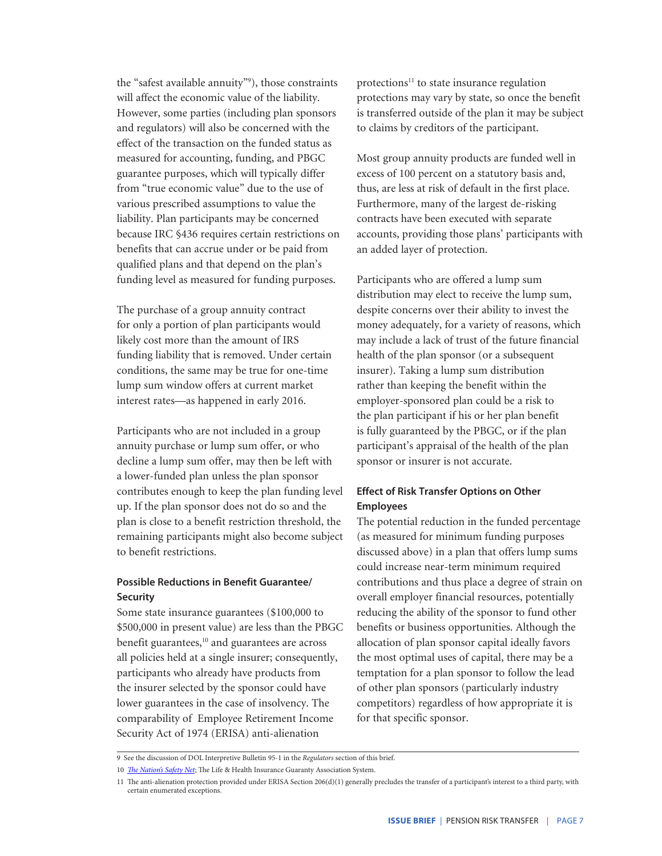the "safest available annuity"9 ), those constraints will affect the economic value of the liability. However, some parties (including plan sponsors and regulators) will also be concerned with the effect of the transaction on the funded status as measured for accounting, funding, and PBGC guarantee purposes, which will typically differ from "true economic value" due to the use of various prescribed assumptions to value the liability. Plan participants may be concerned because IRC §436 requires certain restrictions on benefits that can accrue under or be paid from qualified plans and that depend on the plan's funding level as measured for funding purposes.

The purchase of a group annuity contract for only a portion of plan participants would likely cost more than the amount of IRS funding liability that is removed. Under certain conditions, the same may be true for one-time lump sum window offers at current market interest rates—as happened in early 2016.

Participants who are not included in a group annuity purchase or lump sum offer, or who decline a lump sum offer, may then be left with a lower-funded plan unless the plan sponsor contributes enough to keep the plan funding level up. If the plan sponsor does not do so and the plan is close to a benefit restriction threshold, the remaining participants might also become subject to benefit restrictions.

# **Possible Reductions in Benefit Guarantee/ Security**

Some state insurance guarantees (\$100,000 to \$500,000 in present value) are less than the PBGC benefit guarantees,<sup>10</sup> and guarantees are across all policies held at a single insurer; consequently, participants who already have products from the insurer selected by the sponsor could have lower guarantees in the case of insolvency. The comparability of Employee Retirement Income Security Act of 1974 (ERISA) anti-alienation

protections<sup>11</sup> to state insurance regulation protections may vary by state, so once the benefit is transferred outside of the plan it may be subject to claims by creditors of the participant.

Most group annuity products are funded well in excess of 100 percent on a statutory basis and, thus, are less at risk of default in the first place. Furthermore, many of the largest de-risking contracts have been executed with separate accounts, providing those plans' participants with an added layer of protection.

Participants who are offered a lump sum distribution may elect to receive the lump sum, despite concerns over their ability to invest the money adequately, for a variety of reasons, which may include a lack of trust of the future financial health of the plan sponsor (or a subsequent insurer). Taking a lump sum distribution rather than keeping the benefit within the employer-sponsored plan could be a risk to the plan participant if his or her plan benefit is fully guaranteed by the PBGC, or if the plan participant's appraisal of the health of the plan sponsor or insurer is not accurate.

# **Effect of Risk Transfer Options on Other Employees**

The potential reduction in the funded percentage (as measured for minimum funding purposes discussed above) in a plan that offers lump sums could increase near-term minimum required contributions and thus place a degree of strain on overall employer financial resources, potentially reducing the ability of the sponsor to fund other benefits or business opportunities. Although the allocation of plan sponsor capital ideally favors the most optimal uses of capital, there may be a temptation for a plan sponsor to follow the lead of other plan sponsors (particularly industry competitors) regardless of how appropriate it is for that specific sponsor.

<sup>9</sup> See the discussion of DOL Interpretive Bulletin 95-1 in the *Regulators* section of this brief.

<sup>10</sup> *[The Nation's Safety Net](https://www.nolhga.com/resource/file/NOLHGA%20Safety%20Net%202014.pdf)*; The Life & Health Insurance Guaranty Association System.

<sup>11</sup> The anti-alienation protection provided under ERISA Section 206(d)(1) generally precludes the transfer of a participant's interest to a third party, with certain enumerated exceptions.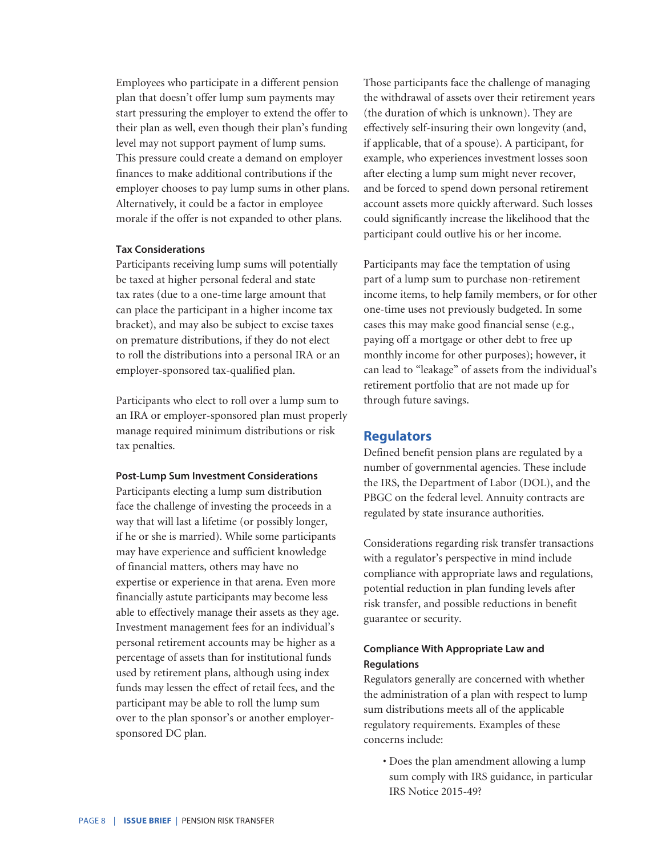Employees who participate in a different pension plan that doesn't offer lump sum payments may start pressuring the employer to extend the offer to their plan as well, even though their plan's funding level may not support payment of lump sums. This pressure could create a demand on employer finances to make additional contributions if the employer chooses to pay lump sums in other plans. Alternatively, it could be a factor in employee morale if the offer is not expanded to other plans.

#### **Tax Considerations**

Participants receiving lump sums will potentially be taxed at higher personal federal and state tax rates (due to a one-time large amount that can place the participant in a higher income tax bracket), and may also be subject to excise taxes on premature distributions, if they do not elect to roll the distributions into a personal IRA or an employer-sponsored tax-qualified plan.

Participants who elect to roll over a lump sum to an IRA or employer-sponsored plan must properly manage required minimum distributions or risk tax penalties.

#### **Post-Lump Sum Investment Considerations**

Participants electing a lump sum distribution face the challenge of investing the proceeds in a way that will last a lifetime (or possibly longer, if he or she is married). While some participants may have experience and sufficient knowledge of financial matters, others may have no expertise or experience in that arena. Even more financially astute participants may become less able to effectively manage their assets as they age. Investment management fees for an individual's personal retirement accounts may be higher as a percentage of assets than for institutional funds used by retirement plans, although using index funds may lessen the effect of retail fees, and the participant may be able to roll the lump sum over to the plan sponsor's or another employersponsored DC plan.

Those participants face the challenge of managing the withdrawal of assets over their retirement years (the duration of which is unknown). They are effectively self-insuring their own longevity (and, if applicable, that of a spouse). A participant, for example, who experiences investment losses soon after electing a lump sum might never recover, and be forced to spend down personal retirement account assets more quickly afterward. Such losses could significantly increase the likelihood that the participant could outlive his or her income.

Participants may face the temptation of using part of a lump sum to purchase non-retirement income items, to help family members, or for other one-time uses not previously budgeted. In some cases this may make good financial sense (e.g., paying off a mortgage or other debt to free up monthly income for other purposes); however, it can lead to "leakage" of assets from the individual's retirement portfolio that are not made up for through future savings.

#### **Regulators**

Defined benefit pension plans are regulated by a number of governmental agencies. These include the IRS, the Department of Labor (DOL), and the PBGC on the federal level. Annuity contracts are regulated by state insurance authorities.

Considerations regarding risk transfer transactions with a regulator's perspective in mind include compliance with appropriate laws and regulations, potential reduction in plan funding levels after risk transfer, and possible reductions in benefit guarantee or security.

# **Compliance With Appropriate Law and Regulations**

Regulators generally are concerned with whether the administration of a plan with respect to lump sum distributions meets all of the applicable regulatory requirements. Examples of these concerns include:

• Does the plan amendment allowing a lump sum comply with IRS guidance, in particular IRS Notice 2015-49?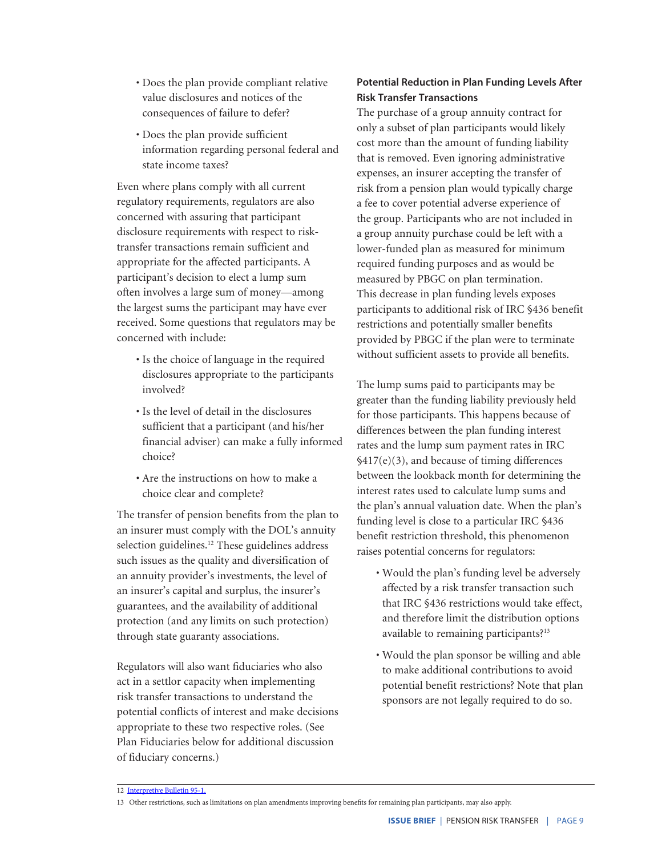- Does the plan provide compliant relative value disclosures and notices of the consequences of failure to defer?
- Does the plan provide sufficient information regarding personal federal and state income taxes?

Even where plans comply with all current regulatory requirements, regulators are also concerned with assuring that participant disclosure requirements with respect to risktransfer transactions remain sufficient and appropriate for the affected participants. A participant's decision to elect a lump sum often involves a large sum of money—among the largest sums the participant may have ever received. Some questions that regulators may be concerned with include:

- Is the choice of language in the required disclosures appropriate to the participants involved?
- Is the level of detail in the disclosures sufficient that a participant (and his/her financial adviser) can make a fully informed choice?
- Are the instructions on how to make a choice clear and complete?

The transfer of pension benefits from the plan to an insurer must comply with the DOL's annuity selection guidelines.<sup>12</sup> These guidelines address such issues as the quality and diversification of an annuity provider's investments, the level of an insurer's capital and surplus, the insurer's guarantees, and the availability of additional protection (and any limits on such protection) through state guaranty associations.

Regulators will also want fiduciaries who also act in a settlor capacity when implementing risk transfer transactions to understand the potential conflicts of interest and make decisions appropriate to these two respective roles. (See Plan Fiduciaries below for additional discussion of fiduciary concerns.)

# **Potential Reduction in Plan Funding Levels After Risk Transfer Transactions**

The purchase of a group annuity contract for only a subset of plan participants would likely cost more than the amount of funding liability that is removed. Even ignoring administrative expenses, an insurer accepting the transfer of risk from a pension plan would typically charge a fee to cover potential adverse experience of the group. Participants who are not included in a group annuity purchase could be left with a lower-funded plan as measured for minimum required funding purposes and as would be measured by PBGC on plan termination. This decrease in plan funding levels exposes participants to additional risk of IRC §436 benefit restrictions and potentially smaller benefits provided by PBGC if the plan were to terminate without sufficient assets to provide all benefits.

The lump sums paid to participants may be greater than the funding liability previously held for those participants. This happens because of differences between the plan funding interest rates and the lump sum payment rates in IRC §417(e)(3), and because of timing differences between the lookback month for determining the interest rates used to calculate lump sums and the plan's annual valuation date. When the plan's funding level is close to a particular IRC §436 benefit restriction threshold, this phenomenon raises potential concerns for regulators:

- Would the plan's funding level be adversely affected by a risk transfer transaction such that IRC §436 restrictions would take effect, and therefore limit the distribution options available to remaining participants?13
- Would the plan sponsor be willing and able to make additional contributions to avoid potential benefit restrictions? Note that plan sponsors are not legally required to do so.

<sup>12</sup> [Interpretive Bulletin 95-1.](http://www.ecfr.gov/cgi-bin/text-idx?SID=3dfb5ec36687b2783ba01470987e7a54&node=pt29.9.2509&rgn=div5#se29.9.2509_195_61)

<sup>13</sup> Other restrictions, such as limitations on plan amendments improving benefits for remaining plan participants, may also apply.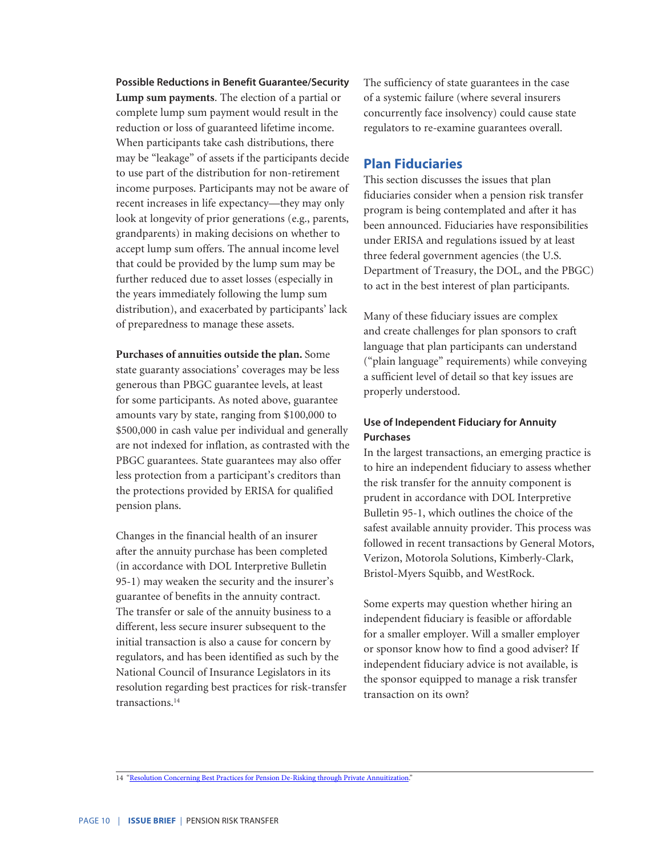**Possible Reductions in Benefit Guarantee/Security Lump sum payments**. The election of a partial or complete lump sum payment would result in the reduction or loss of guaranteed lifetime income. When participants take cash distributions, there may be "leakage" of assets if the participants decide to use part of the distribution for non-retirement income purposes. Participants may not be aware of recent increases in life expectancy—they may only look at longevity of prior generations (e.g., parents, grandparents) in making decisions on whether to accept lump sum offers. The annual income level that could be provided by the lump sum may be further reduced due to asset losses (especially in the years immediately following the lump sum distribution), and exacerbated by participants' lack of preparedness to manage these assets.

**Purchases of annuities outside the plan.** Some state guaranty associations' coverages may be less generous than PBGC guarantee levels, at least for some participants. As noted above, guarantee amounts vary by state, ranging from \$100,000 to \$500,000 in cash value per individual and generally are not indexed for inflation, as contrasted with the PBGC guarantees. State guarantees may also offer less protection from a participant's creditors than the protections provided by ERISA for qualified pension plans.

Changes in the financial health of an insurer after the annuity purchase has been completed (in accordance with DOL Interpretive Bulletin 95-1) may weaken the security and the insurer's guarantee of benefits in the annuity contract. The transfer or sale of the annuity business to a different, less secure insurer subsequent to the initial transaction is also a cause for concern by regulators, and has been identified as such by the National Council of Insurance Legislators in its resolution regarding best practices for risk-transfer transactions.14

The sufficiency of state guarantees in the case of a systemic failure (where several insurers concurrently face insolvency) could cause state regulators to re-examine guarantees overall.

# **Plan Fiduciaries**

This section discusses the issues that plan fiduciaries consider when a pension risk transfer program is being contemplated and after it has been announced. Fiduciaries have responsibilities under ERISA and regulations issued by at least three federal government agencies (the U.S. Department of Treasury, the DOL, and the PBGC) to act in the best interest of plan participants.

Many of these fiduciary issues are complex and create challenges for plan sponsors to craft language that plan participants can understand ("plain language" requirements) while conveying a sufficient level of detail so that key issues are properly understood.

# **Use of Independent Fiduciary for Annuity Purchases**

In the largest transactions, an emerging practice is to hire an independent fiduciary to assess whether the risk transfer for the annuity component is prudent in accordance with DOL Interpretive Bulletin 95-1, which outlines the choice of the safest available annuity provider. This process was followed in recent transactions by General Motors, Verizon, Motorola Solutions, Kimberly-Clark, Bristol-Myers Squibb, and WestRock.

Some experts may question whether hiring an independent fiduciary is feasible or affordable for a smaller employer. Will a smaller employer or sponsor know how to find a good adviser? If independent fiduciary advice is not available, is the sponsor equipped to manage a risk transfer transaction on its own?

<sup>14 &</sup>quot;[Resolution Concerning Best Practices for Pension De-Risking through Private Annuitization](http://op.bna.com.s3.amazonaws.com/pen.nsf/r%3FOpen%3dsfos-9uppuw)."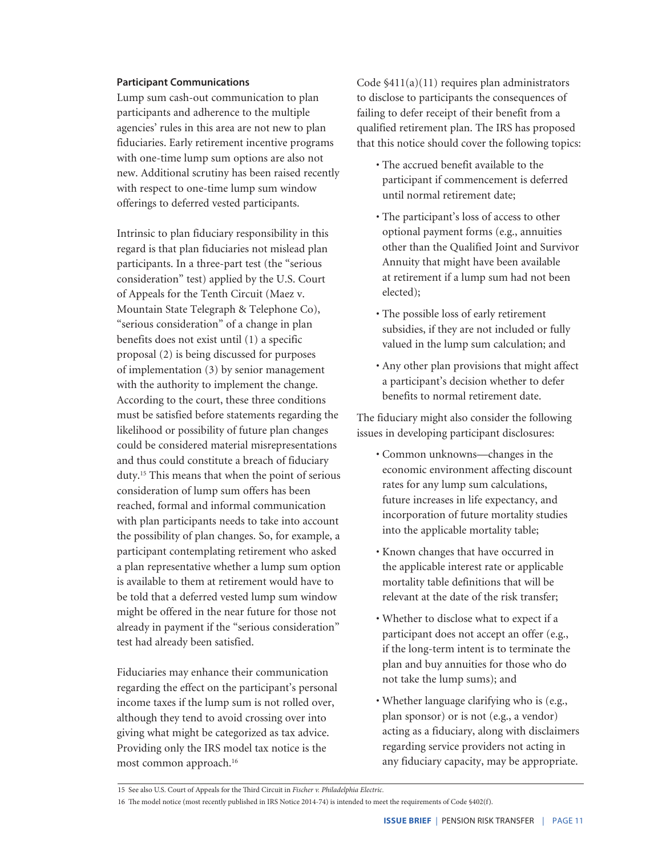#### **Participant Communications**

Lump sum cash-out communication to plan participants and adherence to the multiple agencies' rules in this area are not new to plan fiduciaries. Early retirement incentive programs with one-time lump sum options are also not new. Additional scrutiny has been raised recently with respect to one-time lump sum window offerings to deferred vested participants.

Intrinsic to plan fiduciary responsibility in this regard is that plan fiduciaries not mislead plan participants. In a three-part test (the "serious consideration" test) applied by the U.S. Court of Appeals for the Tenth Circuit (Maez v. Mountain State Telegraph & Telephone Co), "serious consideration" of a change in plan benefits does not exist until (1) a specific proposal (2) is being discussed for purposes of implementation (3) by senior management with the authority to implement the change. According to the court, these three conditions must be satisfied before statements regarding the likelihood or possibility of future plan changes could be considered material misrepresentations and thus could constitute a breach of fiduciary duty.15 This means that when the point of serious consideration of lump sum offers has been reached, formal and informal communication with plan participants needs to take into account the possibility of plan changes. So, for example, a participant contemplating retirement who asked a plan representative whether a lump sum option is available to them at retirement would have to be told that a deferred vested lump sum window might be offered in the near future for those not already in payment if the "serious consideration" test had already been satisfied.

Fiduciaries may enhance their communication regarding the effect on the participant's personal income taxes if the lump sum is not rolled over, although they tend to avoid crossing over into giving what might be categorized as tax advice. Providing only the IRS model tax notice is the most common approach.16

Code §411(a)(11) requires plan administrators to disclose to participants the consequences of failing to defer receipt of their benefit from a qualified retirement plan. The IRS has proposed that this notice should cover the following topics:

- The accrued benefit available to the participant if commencement is deferred until normal retirement date;
- The participant's loss of access to other optional payment forms (e.g., annuities other than the Qualified Joint and Survivor Annuity that might have been available at retirement if a lump sum had not been elected);
- The possible loss of early retirement subsidies, if they are not included or fully valued in the lump sum calculation; and
- Any other plan provisions that might affect a participant's decision whether to defer benefits to normal retirement date.

The fiduciary might also consider the following issues in developing participant disclosures:

- Common unknowns—changes in the economic environment affecting discount rates for any lump sum calculations, future increases in life expectancy, and incorporation of future mortality studies into the applicable mortality table;
- Known changes that have occurred in the applicable interest rate or applicable mortality table definitions that will be relevant at the date of the risk transfer;
- Whether to disclose what to expect if a participant does not accept an offer (e.g., if the long-term intent is to terminate the plan and buy annuities for those who do not take the lump sums); and
- Whether language clarifying who is (e.g., plan sponsor) or is not (e.g., a vendor) acting as a fiduciary, along with disclaimers regarding service providers not acting in any fiduciary capacity, may be appropriate.

<sup>15</sup> See also U.S. Court of Appeals for the Third Circuit in *Fischer v. Philadelphia Electric.*

<sup>16</sup> The model notice (most recently published in IRS Notice 2014-74) is intended to meet the requirements of Code §402(f).